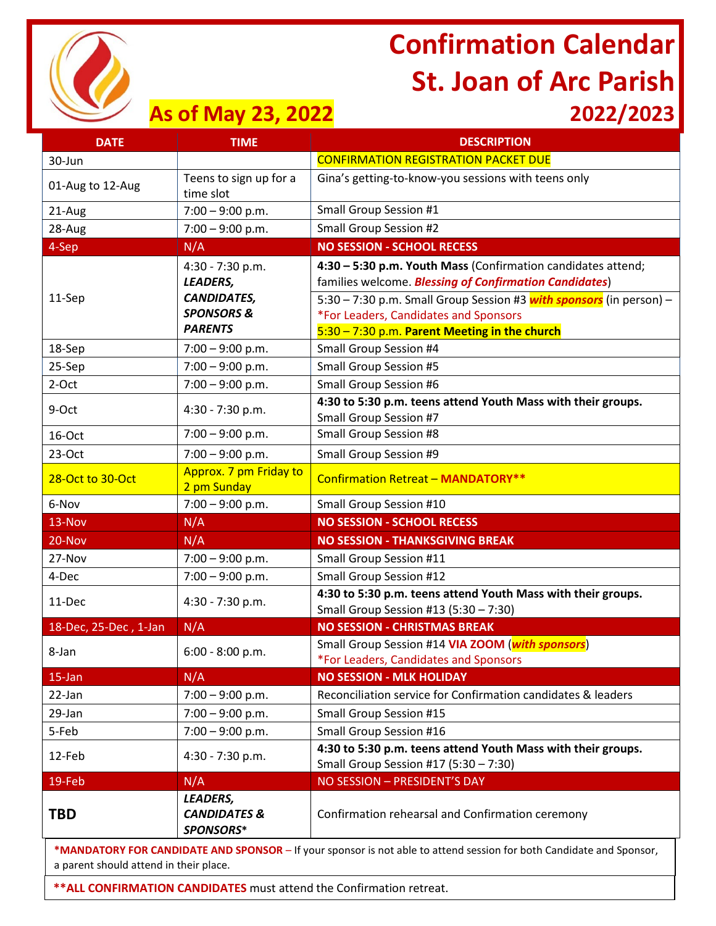

# **Confirmation Calendar St. Joan of Arc Parish**

### **As of May 23, 2022 2022/2023**

**DATE TIME DESCRIPTION** 

| 30-Jun                |                                                                                                        | <b>CONFIRMATION REGISTRATION PACKET DUE</b>                                                                                                                                                                                                                                                            |
|-----------------------|--------------------------------------------------------------------------------------------------------|--------------------------------------------------------------------------------------------------------------------------------------------------------------------------------------------------------------------------------------------------------------------------------------------------------|
| 01-Aug to 12-Aug      | Teens to sign up for a<br>time slot                                                                    | Gina's getting-to-know-you sessions with teens only                                                                                                                                                                                                                                                    |
| 21-Aug                | $7:00 - 9:00$ p.m.                                                                                     | Small Group Session #1                                                                                                                                                                                                                                                                                 |
| 28-Aug                | $7:00 - 9:00$ p.m.                                                                                     | Small Group Session #2                                                                                                                                                                                                                                                                                 |
| 4-Sep                 | N/A                                                                                                    | <b>NO SESSION - SCHOOL RECESS</b>                                                                                                                                                                                                                                                                      |
| 11-Sep                | $4:30 - 7:30$ p.m.<br><b>LEADERS,</b><br><b>CANDIDATES,</b><br><b>SPONSORS &amp;</b><br><b>PARENTS</b> | 4:30 - 5:30 p.m. Youth Mass (Confirmation candidates attend;<br>families welcome. <b>Blessing of Confirmation Candidates</b> )<br>5:30 – 7:30 p.m. Small Group Session #3 <b>with sponsors</b> (in person) –<br>*For Leaders, Candidates and Sponsors<br>5:30 - 7:30 p.m. Parent Meeting in the church |
| 18-Sep                | $7:00 - 9:00$ p.m.                                                                                     | Small Group Session #4                                                                                                                                                                                                                                                                                 |
| 25-Sep                | $7:00 - 9:00$ p.m.                                                                                     | <b>Small Group Session #5</b>                                                                                                                                                                                                                                                                          |
| 2-Oct                 | $7:00 - 9:00$ p.m.                                                                                     | Small Group Session #6                                                                                                                                                                                                                                                                                 |
| 9-Oct                 | $4:30 - 7:30$ p.m.                                                                                     | 4:30 to 5:30 p.m. teens attend Youth Mass with their groups.<br>Small Group Session #7                                                                                                                                                                                                                 |
| 16-Oct                | $7:00 - 9:00$ p.m.                                                                                     | Small Group Session #8                                                                                                                                                                                                                                                                                 |
| $23-Oct$              | $7:00 - 9:00$ p.m.                                                                                     | Small Group Session #9                                                                                                                                                                                                                                                                                 |
| 28-Oct to 30-Oct      | Approx. 7 pm Friday to<br>2 pm Sunday                                                                  | <b>Confirmation Retreat - MANDATORY**</b>                                                                                                                                                                                                                                                              |
| 6-Nov                 | $7:00 - 9:00$ p.m.                                                                                     | Small Group Session #10                                                                                                                                                                                                                                                                                |
| 13-Nov                | N/A                                                                                                    | <b>NO SESSION - SCHOOL RECESS</b>                                                                                                                                                                                                                                                                      |
| 20-Nov                | N/A                                                                                                    | <b>NO SESSION - THANKSGIVING BREAK</b>                                                                                                                                                                                                                                                                 |
| 27-Nov                | $7:00 - 9:00$ p.m.                                                                                     | Small Group Session #11                                                                                                                                                                                                                                                                                |
| 4-Dec                 | $7:00 - 9:00 p.m.$                                                                                     | Small Group Session #12                                                                                                                                                                                                                                                                                |
| 11-Dec                | $4:30 - 7:30$ p.m.                                                                                     | 4:30 to 5:30 p.m. teens attend Youth Mass with their groups.<br>Small Group Session #13 (5:30 - 7:30)                                                                                                                                                                                                  |
| 18-Dec, 25-Dec, 1-Jan | N/A                                                                                                    | <b>NO SESSION - CHRISTMAS BREAK</b>                                                                                                                                                                                                                                                                    |
| 8-Jan                 | 6:00 - 8:00 p.m.                                                                                       | Small Group Session #14 VIA ZOOM (with sponsors)<br>*For Leaders, Candidates and Sponsors                                                                                                                                                                                                              |
| 15-Jan                | N/A                                                                                                    | <b>NO SESSION - MLK HOLIDAY</b>                                                                                                                                                                                                                                                                        |
| 22-Jan                | $7:00 - 9:00$ p.m.                                                                                     | Reconciliation service for Confirmation candidates & leaders                                                                                                                                                                                                                                           |
| 29-Jan                | $7:00 - 9:00$ p.m.                                                                                     | <b>Small Group Session #15</b>                                                                                                                                                                                                                                                                         |
| 5-Feb                 | $7:00 - 9:00$ p.m.                                                                                     | Small Group Session #16                                                                                                                                                                                                                                                                                |
| 12-Feb                | $4:30 - 7:30$ p.m.                                                                                     | 4:30 to 5:30 p.m. teens attend Youth Mass with their groups.<br>Small Group Session #17 (5:30 - 7:30)                                                                                                                                                                                                  |
| 19-Feb                | N/A                                                                                                    | NO SESSION - PRESIDENT'S DAY                                                                                                                                                                                                                                                                           |
| <b>TBD</b>            | LEADERS,<br><b>CANDIDATES &amp;</b><br>SPONSORS*                                                       | Confirmation rehearsal and Confirmation ceremony                                                                                                                                                                                                                                                       |
|                       |                                                                                                        | *MANDATORY FOR CANDIDATE AND SPONSOR - If your sponsor is not able to attend session for both Candidate and Sponsor,                                                                                                                                                                                   |

a parent should attend in their place.

**\*\*ALL CONFIRMATION CANDIDATES** must attend the Confirmation retreat.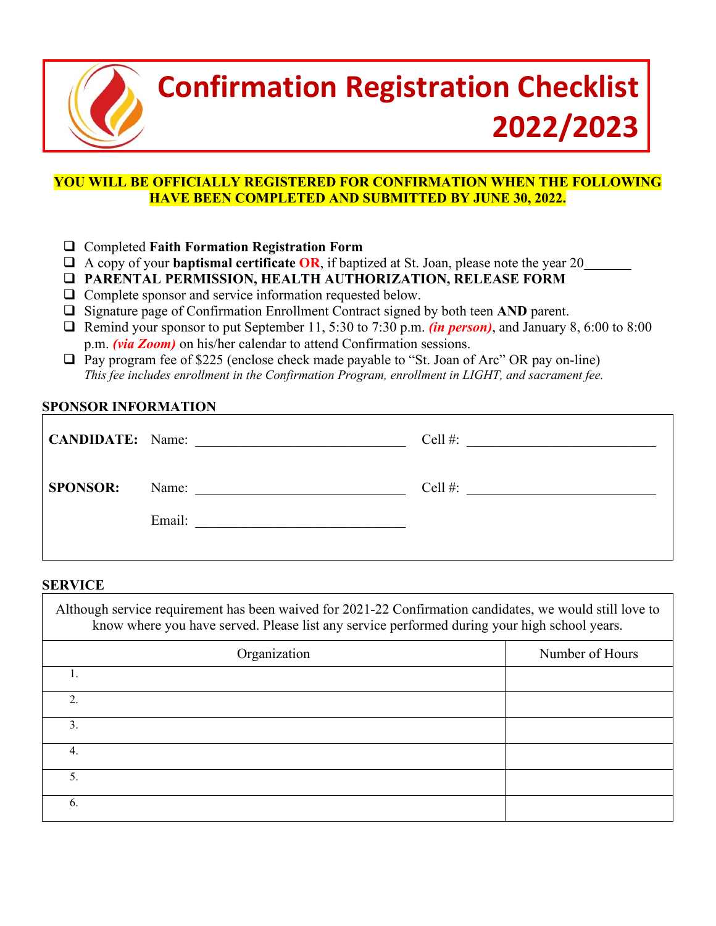

## **Confirmation Registration Checklist 2022/2023**

### **YOU WILL BE OFFICIALLY REGISTERED FOR CONFIRMATION WHEN THE FOLLOWING HAVE BEEN COMPLETED AND SUBMITTED BY JUNE 30, 2022.**

- Completed **Faith Formation Registration Form**
- A copy of your **baptismal certificate OR**, if baptized at St. Joan, please note the year 20
- **PARENTAL PERMISSION, HEALTH AUTHORIZATION, RELEASE FORM**
- Complete sponsor and service information requested below.
- □ Signature page of Confirmation Enrollment Contract signed by both teen **AND** parent.
- Remind your sponsor to put September 11, 5:30 to 7:30 p.m. *(in person)*, and January 8, 6:00 to 8:00 p.m. *(via Zoom)* on his/her calendar to attend Confirmation sessions.
- $\Box$  Pay program fee of \$225 (enclose check made payable to "St. Joan of Arc" OR pay on-line) *This fee includes enrollment in the Confirmation Program, enrollment in LIGHT, and sacrament fee.*

### **SPONSOR INFORMATION**

|                 | CANDIDATE: Name:                                                                     | Cell $#$ :<br><u> 1980 - John Stein, mars and de Britain and de Britain and de Britain and de Britain and de Britain and de Br</u> |
|-----------------|--------------------------------------------------------------------------------------|------------------------------------------------------------------------------------------------------------------------------------|
| <b>SPONSOR:</b> | Name:                                                                                | Cell $#$ :                                                                                                                         |
|                 | Email:<br>the control of the control of the control of the control of the control of |                                                                                                                                    |
|                 |                                                                                      |                                                                                                                                    |

### **SERVICE**

| Although service requirement has been waived for 2021-22 Confirmation candidates, we would still love to<br>know where you have served. Please list any service performed during your high school years. |                 |  |  |  |
|----------------------------------------------------------------------------------------------------------------------------------------------------------------------------------------------------------|-----------------|--|--|--|
| Organization                                                                                                                                                                                             | Number of Hours |  |  |  |
|                                                                                                                                                                                                          |                 |  |  |  |
| $\mathfrak{D}$                                                                                                                                                                                           |                 |  |  |  |
| 3.                                                                                                                                                                                                       |                 |  |  |  |
| 4.                                                                                                                                                                                                       |                 |  |  |  |
| 5.                                                                                                                                                                                                       |                 |  |  |  |
| 6.                                                                                                                                                                                                       |                 |  |  |  |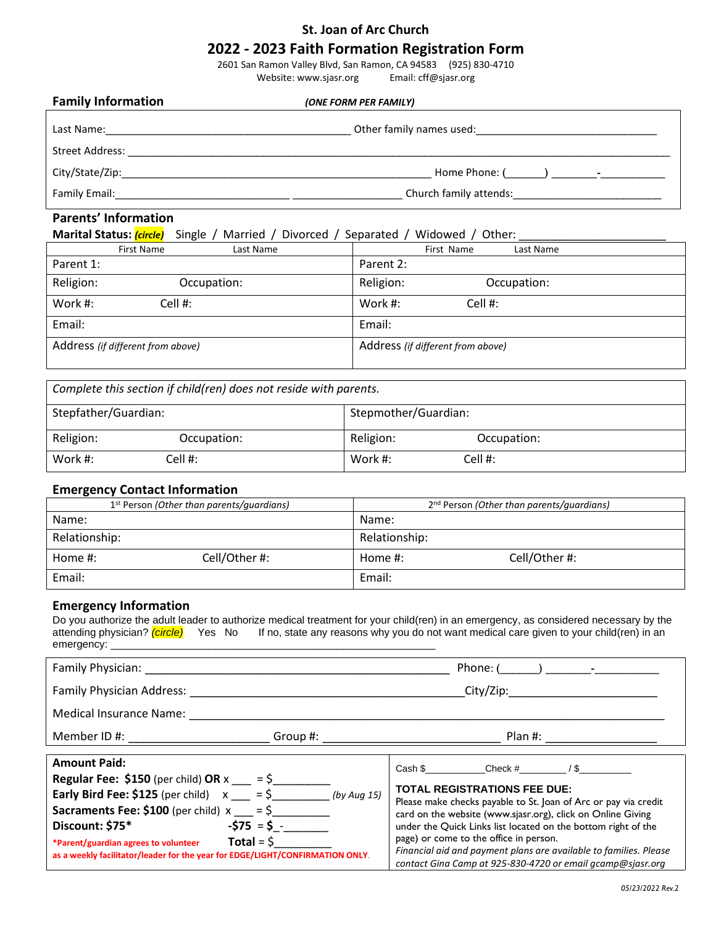### **St. Joan of Arc Church**

### **2022 - 2023 Faith Formation Registration Form**

2601 San Ramon Valley Blvd, San Ramon, CA 94583 (925) 830-4710 Website: www.sjasr.org Email: cff@sjasr.org

| <b>Family Information</b> | (ONE FORM PER FAMILY)    |  |  |
|---------------------------|--------------------------|--|--|
| Last Name:                | Other family names used: |  |  |
| Street Address:           |                          |  |  |
| City/State/Zip:           |                          |  |  |
| Family Email:             | Church family attends:   |  |  |
|                           |                          |  |  |

### **Parents' Information**

#### **Marital Status:** *(circle)* Single / Married / Divorced / Separated / Widowed / Other:

|           | <b>First Name</b><br>Last Name    | First Name<br>Last Name           |
|-----------|-----------------------------------|-----------------------------------|
| Parent 1: |                                   | Parent 2:                         |
| Religion: | Occupation:                       | Religion:<br>Occupation:          |
| Work #:   | Cell #:                           | Work #:<br>Cell $#$ :             |
| Email:    |                                   | Email:                            |
|           | Address (if different from above) | Address (if different from above) |

| Complete this section if child(ren) does not reside with parents. |             |           |                      |  |
|-------------------------------------------------------------------|-------------|-----------|----------------------|--|
| Stepfather/Guardian:                                              |             |           | Stepmother/Guardian: |  |
| Religion:                                                         | Occupation: | Religion: | Occupation:          |  |
| Work #:                                                           | Cell #:     | Work #:   | $Cell$ #:            |  |

#### **Emergency Contact Information**

| .                                                     |               |               |                                                       |  |
|-------------------------------------------------------|---------------|---------------|-------------------------------------------------------|--|
| 1 <sup>st</sup> Person (Other than parents/quardians) |               |               | 2 <sup>nd</sup> Person (Other than parents/quardians) |  |
| Name:                                                 |               | Name:         |                                                       |  |
| Relationship:                                         |               | Relationship: |                                                       |  |
| Home $#$ :                                            | Cell/Other #: | Home $#$ :    | Cell/Other#:                                          |  |
| Email:                                                |               | Email:        |                                                       |  |

#### **Emergency Information**

Do you authorize the adult leader to authorize medical treatment for your child(ren) in an emergency, as considered necessary by the attending physician? *(circle)* Yes No If no, state any reasons why you do not want medical care given to your child(ren) in an emergency:

| Family Physician: Management Contains a management of the state of the state of the state of the state of the                                                                                                                                                                                                                                                                     |                                             | Phone: ()                                                                                                                                                                                                                                                                                                                                                                                                                                              |  |
|-----------------------------------------------------------------------------------------------------------------------------------------------------------------------------------------------------------------------------------------------------------------------------------------------------------------------------------------------------------------------------------|---------------------------------------------|--------------------------------------------------------------------------------------------------------------------------------------------------------------------------------------------------------------------------------------------------------------------------------------------------------------------------------------------------------------------------------------------------------------------------------------------------------|--|
| Family Physician Address:                                                                                                                                                                                                                                                                                                                                                         |                                             | City/Zip:                                                                                                                                                                                                                                                                                                                                                                                                                                              |  |
| Medical Insurance Name:                                                                                                                                                                                                                                                                                                                                                           |                                             |                                                                                                                                                                                                                                                                                                                                                                                                                                                        |  |
| Member ID #:                                                                                                                                                                                                                                                                                                                                                                      | Group #: $\_\_\_\_\_\_\_\_\_\_\_\_\_\_\_\_$ | <b>Example 1</b> Plan #:                                                                                                                                                                                                                                                                                                                                                                                                                               |  |
| <b>Amount Paid:</b><br><b>Regular Fee: \$150</b> (per child) OR $x = 5$<br><b>Early Bird Fee:</b> \$125 (per child) $x = \frac{5}{2}$ (by Aug 15)<br><b>Sacraments Fee: \$100</b> (per child) $x = 5$<br>Discount: \$75*<br>*Parent/guardian agrees to volunteer $\qquad \qquad$ Total = $\zeta$<br>as a weekly facilitator/leader for the year for EDGE/LIGHT/CONFIRMATION ONLY. | $-575 = 5 -$                                | Cash $\frac{1}{3}$ Check # / \$<br><b>TOTAL REGISTRATIONS FEE DUE:</b><br>Please make checks payable to St. Joan of Arc or pay via credit<br>card on the website (www.sjasr.org), click on Online Giving<br>under the Quick Links list located on the bottom right of the<br>page) or come to the office in person.<br>Financial aid and payment plans are available to families. Please<br>contact Gina Camp at 925-830-4720 or email acamp@siasr.org |  |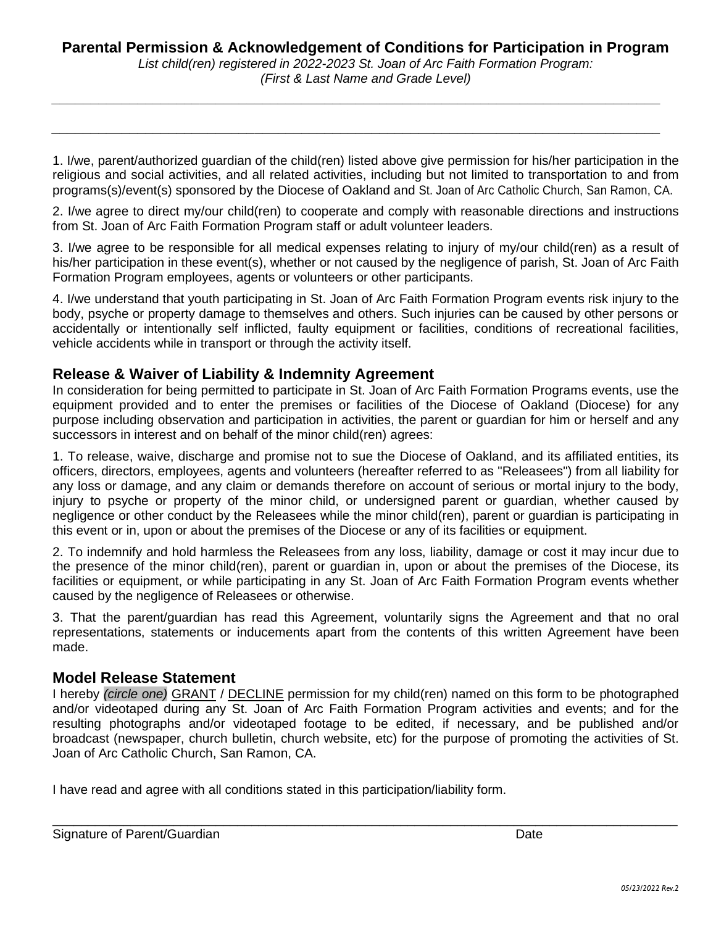### **Parental Permission & Acknowledgement of Conditions for Participation in Program**

*List child(ren) registered in 2022-2023 St. Joan of Arc Faith Formation Program: (First & Last Name and Grade Level)*

*\_\_\_\_\_\_\_\_\_\_\_\_\_\_\_\_\_\_\_\_\_\_\_\_\_\_\_\_\_\_\_\_\_\_\_\_\_\_\_\_\_\_\_\_\_\_\_\_\_\_\_\_\_\_\_\_\_\_\_\_\_\_\_\_\_\_\_\_\_\_\_\_\_\_\_\_\_\_*

*\_\_\_\_\_\_\_\_\_\_\_\_\_\_\_\_\_\_\_\_\_\_\_\_\_\_\_\_\_\_\_\_\_\_\_\_\_\_\_\_\_\_\_\_\_\_\_\_\_\_\_\_\_\_\_\_\_\_\_\_\_\_\_\_\_\_\_\_\_\_\_\_\_\_\_\_\_\_*

1. I/we, parent/authorized guardian of the child(ren) listed above give permission for his/her participation in the religious and social activities, and all related activities, including but not limited to transportation to and from programs(s)/event(s) sponsored by the Diocese of Oakland and St. Joan of Arc Catholic Church, San Ramon, CA.

2. I/we agree to direct my/our child(ren) to cooperate and comply with reasonable directions and instructions from St. Joan of Arc Faith Formation Program staff or adult volunteer leaders.

3. I/we agree to be responsible for all medical expenses relating to injury of my/our child(ren) as a result of his/her participation in these event(s), whether or not caused by the negligence of parish, St. Joan of Arc Faith Formation Program employees, agents or volunteers or other participants.

4. I/we understand that youth participating in St. Joan of Arc Faith Formation Program events risk injury to the body, psyche or property damage to themselves and others. Such injuries can be caused by other persons or accidentally or intentionally self inflicted, faulty equipment or facilities, conditions of recreational facilities, vehicle accidents while in transport or through the activity itself.

### **Release & Waiver of Liability & Indemnity Agreement**

In consideration for being permitted to participate in St. Joan of Arc Faith Formation Programs events, use the equipment provided and to enter the premises or facilities of the Diocese of Oakland (Diocese) for any purpose including observation and participation in activities, the parent or guardian for him or herself and any successors in interest and on behalf of the minor child(ren) agrees:

1. To release, waive, discharge and promise not to sue the Diocese of Oakland, and its affiliated entities, its officers, directors, employees, agents and volunteers (hereafter referred to as "Releasees") from all liability for any loss or damage, and any claim or demands therefore on account of serious or mortal injury to the body, injury to psyche or property of the minor child, or undersigned parent or guardian, whether caused by negligence or other conduct by the Releasees while the minor child(ren), parent or guardian is participating in this event or in, upon or about the premises of the Diocese or any of its facilities or equipment.

2. To indemnify and hold harmless the Releasees from any loss, liability, damage or cost it may incur due to the presence of the minor child(ren), parent or guardian in, upon or about the premises of the Diocese, its facilities or equipment, or while participating in any St. Joan of Arc Faith Formation Program events whether caused by the negligence of Releasees or otherwise.

3. That the parent/guardian has read this Agreement, voluntarily signs the Agreement and that no oral representations, statements or inducements apart from the contents of this written Agreement have been made.

### **Model Release Statement**

I hereby *(circle one)* GRANT / DECLINE permission for my child(ren) named on this form to be photographed and/or videotaped during any St. Joan of Arc Faith Formation Program activities and events; and for the resulting photographs and/or videotaped footage to be edited, if necessary, and be published and/or broadcast (newspaper, church bulletin, church website, etc) for the purpose of promoting the activities of St. Joan of Arc Catholic Church, San Ramon, CA.

 $\mathcal{L}_\mathcal{L} = \mathcal{L}_\mathcal{L} = \mathcal{L}_\mathcal{L} = \mathcal{L}_\mathcal{L} = \mathcal{L}_\mathcal{L} = \mathcal{L}_\mathcal{L} = \mathcal{L}_\mathcal{L} = \mathcal{L}_\mathcal{L} = \mathcal{L}_\mathcal{L} = \mathcal{L}_\mathcal{L} = \mathcal{L}_\mathcal{L} = \mathcal{L}_\mathcal{L} = \mathcal{L}_\mathcal{L} = \mathcal{L}_\mathcal{L} = \mathcal{L}_\mathcal{L} = \mathcal{L}_\mathcal{L} = \mathcal{L}_\mathcal{L}$ 

I have read and agree with all conditions stated in this participation/liability form.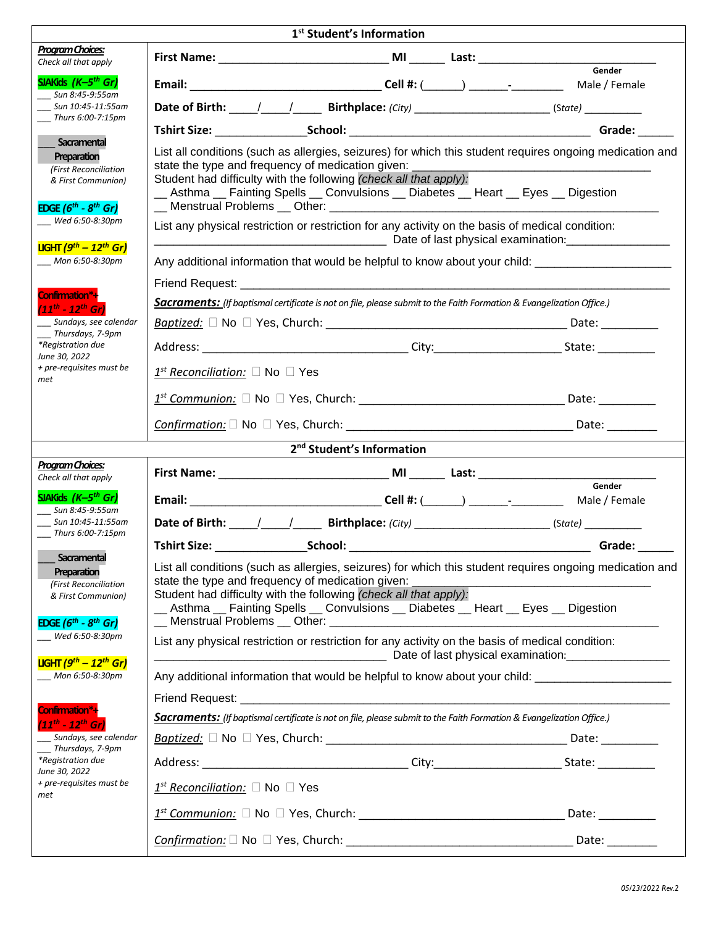| 1 <sup>st</sup> Student's Information                                                                           |                                                                                                                                                                                                                                                                                                                           |  |                                                                                                                      |  |
|-----------------------------------------------------------------------------------------------------------------|---------------------------------------------------------------------------------------------------------------------------------------------------------------------------------------------------------------------------------------------------------------------------------------------------------------------------|--|----------------------------------------------------------------------------------------------------------------------|--|
| <b>Program Choices:</b><br>Check all that apply                                                                 |                                                                                                                                                                                                                                                                                                                           |  |                                                                                                                      |  |
| SJAKids $(K-5th Gr)$<br>Sun 8:45-9:55am                                                                         |                                                                                                                                                                                                                                                                                                                           |  | Gender                                                                                                               |  |
| Sun 10:45-11:55am                                                                                               |                                                                                                                                                                                                                                                                                                                           |  |                                                                                                                      |  |
| $\frac{1}{2}$ Thurs 6:00-7:15pm                                                                                 |                                                                                                                                                                                                                                                                                                                           |  |                                                                                                                      |  |
| Sacramental<br>Preparation<br>(First Reconciliation<br>& First Communion)                                       | List all conditions (such as allergies, seizures) for which this student requires ongoing medication and<br>state the type and frequency of medication given:<br>Student had difficulty with the following (check all that apply):<br>_Asthma __ Fainting Spells __ Convulsions __ Diabetes __ Heart __ Eyes __ Digestion |  |                                                                                                                      |  |
| EDGE $(6^{th} - 8^{th}$ Gr)<br>Wed 6:50-8:30pm                                                                  | List any physical restriction or restriction for any activity on the basis of medical condition:                                                                                                                                                                                                                          |  |                                                                                                                      |  |
| <b>LIGHT</b> ( $9th - 12th$ Gr)                                                                                 |                                                                                                                                                                                                                                                                                                                           |  |                                                                                                                      |  |
| Mon 6:50-8:30pm                                                                                                 | Any additional information that would be helpful to know about your child: ________________________                                                                                                                                                                                                                       |  |                                                                                                                      |  |
| Confirmation*+                                                                                                  |                                                                                                                                                                                                                                                                                                                           |  |                                                                                                                      |  |
| $(11^{th} - 12^{th} Gr)$                                                                                        | Sacraments: (If baptismal certificate is not on file, please submit to the Faith Formation & Evangelization Office.)                                                                                                                                                                                                      |  |                                                                                                                      |  |
| __ Sundays, see calendar<br>__ Thursdays, 7-9pm                                                                 |                                                                                                                                                                                                                                                                                                                           |  |                                                                                                                      |  |
| *Registration due<br>June 30, 2022                                                                              |                                                                                                                                                                                                                                                                                                                           |  |                                                                                                                      |  |
| + pre-requisites must be<br>met                                                                                 | $1^{st}$ Reconciliation: $\square$ No $\square$ Yes                                                                                                                                                                                                                                                                       |  |                                                                                                                      |  |
|                                                                                                                 |                                                                                                                                                                                                                                                                                                                           |  |                                                                                                                      |  |
|                                                                                                                 |                                                                                                                                                                                                                                                                                                                           |  |                                                                                                                      |  |
|                                                                                                                 | 2 <sup>nd</sup> Student's Information                                                                                                                                                                                                                                                                                     |  |                                                                                                                      |  |
| <b>Program Choices:</b><br>Check all that apply                                                                 |                                                                                                                                                                                                                                                                                                                           |  |                                                                                                                      |  |
| SJAKids (K-5 <sup>th</sup> Gr)<br>$\frac{3}{2}$ Sun 8:45-9:55am                                                 |                                                                                                                                                                                                                                                                                                                           |  | Gender                                                                                                               |  |
| Sun 10:45-11:55am<br>Thurs 6:00-7:15pm                                                                          |                                                                                                                                                                                                                                                                                                                           |  |                                                                                                                      |  |
|                                                                                                                 | <b>Tshirt Size:</b><br>_School:                                                                                                                                                                                                                                                                                           |  | Grade:                                                                                                               |  |
| Sacramental<br>Preparation<br>(First Reconciliation<br>& First Communion)<br><b>EDGE</b> $(6^{th} - 8^{th}$ Gr) | List all conditions (such as allergies, seizures) for which this student requires ongoing medication and<br>state the type and frequency of medication given:<br>Student had difficulty with the following (check all that apply):<br>Asthma __ Fainting Spells __ Convulsions __ Diabetes __ Heart __ Eyes __ Digestion  |  | <u> 1990 - Paris Alexandria, poeta e poeta estadounidense e a contineiro de la provincia de la provincia de la p</u> |  |
| Wed 6:50-8:30pm                                                                                                 | List any physical restriction or restriction for any activity on the basis of medical condition:                                                                                                                                                                                                                          |  |                                                                                                                      |  |
| <b>LIGHT</b> ( $9^{th}$ - 12 <sup>th</sup> Gr)<br>Mon 6:50-8:30pm                                               | Any additional information that would be helpful to know about your child: ________________________                                                                                                                                                                                                                       |  |                                                                                                                      |  |
| Confirmation*+                                                                                                  | Friend Request: <u>www.common.common.common.common.com</u>                                                                                                                                                                                                                                                                |  |                                                                                                                      |  |
| $(11^{th} - 12^{th} \text{ Gr})$                                                                                | Sacraments: (If baptismal certificate is not on file, please submit to the Faith Formation & Evangelization Office.)                                                                                                                                                                                                      |  |                                                                                                                      |  |
| __ Sundays, see calendar<br>Thursdays, 7-9pm                                                                    |                                                                                                                                                                                                                                                                                                                           |  |                                                                                                                      |  |
| *Registration due<br>June 30, 2022                                                                              |                                                                                                                                                                                                                                                                                                                           |  |                                                                                                                      |  |
| + pre-requisites must be<br>met                                                                                 | $1^{st}$ Reconciliation: $\square$ No $\square$ Yes                                                                                                                                                                                                                                                                       |  |                                                                                                                      |  |
|                                                                                                                 |                                                                                                                                                                                                                                                                                                                           |  |                                                                                                                      |  |
|                                                                                                                 |                                                                                                                                                                                                                                                                                                                           |  |                                                                                                                      |  |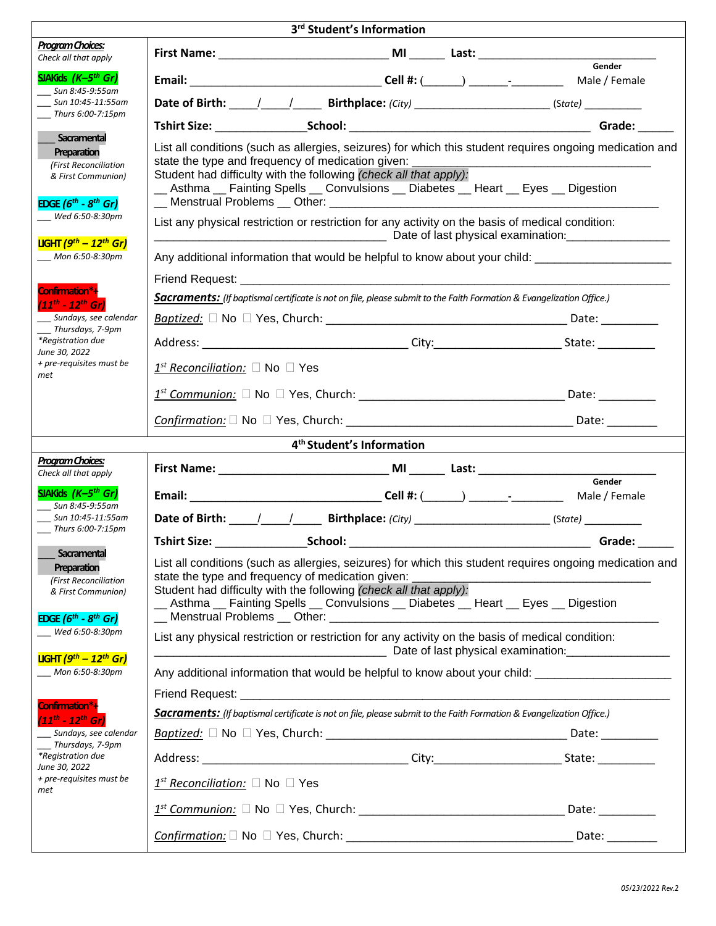| 3rd Student's Information                                                                 |                                                                                                                                                                                                                                                                                                                                    |  |              |  |  |
|-------------------------------------------------------------------------------------------|------------------------------------------------------------------------------------------------------------------------------------------------------------------------------------------------------------------------------------------------------------------------------------------------------------------------------------|--|--------------|--|--|
| Program Choices:<br>Check all that apply                                                  |                                                                                                                                                                                                                                                                                                                                    |  |              |  |  |
| SJAKids $(K-5th Gr)$<br>Sun 8:45-9:55am                                                   |                                                                                                                                                                                                                                                                                                                                    |  |              |  |  |
| Sun 10:45-11:55am<br>Thurs 6:00-7:15pm                                                    |                                                                                                                                                                                                                                                                                                                                    |  |              |  |  |
|                                                                                           |                                                                                                                                                                                                                                                                                                                                    |  |              |  |  |
| Sacramental<br>Preparation<br>(First Reconciliation<br>& First Communion)                 | List all conditions (such as allergies, seizures) for which this student requires ongoing medication and<br>state the type and frequency of medication given:<br>Student had difficulty with the following (check all that apply):<br><u>__</u> Asthma __ Fainting Spells __ Convulsions __ Diabetes __ Heart __ Eyes __ Digestion |  |              |  |  |
| EDGE $(6^{th} - 8^{th}$ Gr)<br>Wed 6:50-8:30pm                                            | List any physical restriction or restriction for any activity on the basis of medical condition:                                                                                                                                                                                                                                   |  |              |  |  |
| <b>UGHT</b> (9 <sup>th</sup> – 12 <sup>th</sup> Gr)<br>Mon 6:50-8:30pm                    | <b>Date of last physical examination: CONSIDENTIAL CONSIDERING CONSIDERING CONSIDERING CONSIDERING CONSIDERING CON</b><br>Any additional information that would be helpful to know about your child: ________________________                                                                                                      |  |              |  |  |
|                                                                                           |                                                                                                                                                                                                                                                                                                                                    |  |              |  |  |
| Confirmation*+<br>$(11^{th} - 12^{th} Gr)$                                                | Sacraments: (If baptismal certificate is not on file, please submit to the Faith Formation & Evangelization Office.)                                                                                                                                                                                                               |  |              |  |  |
| Sundays, see calendar<br>__ Thursdays, 7-9pm                                              |                                                                                                                                                                                                                                                                                                                                    |  |              |  |  |
| *Registration due<br>June 30, 2022                                                        |                                                                                                                                                                                                                                                                                                                                    |  |              |  |  |
| + pre-requisites must be<br>met                                                           | $1^{st}$ Reconciliation: $\square$ No $\square$ Yes                                                                                                                                                                                                                                                                                |  |              |  |  |
|                                                                                           |                                                                                                                                                                                                                                                                                                                                    |  | Date: $\_\_$ |  |  |
|                                                                                           | $\overline{\textit{Configuration:}} \ \Box \ \textit{No} \ \Box \ \textit{Yes}, \ \textit{Church:} \ \underline{\hspace{2cm}}$                                                                                                                                                                                                     |  |              |  |  |
|                                                                                           | 4 <sup>th</sup> Student's Information                                                                                                                                                                                                                                                                                              |  |              |  |  |
| Program Choices:<br>Check all that apply                                                  |                                                                                                                                                                                                                                                                                                                                    |  |              |  |  |
| SJAKids (K-5 <sup>th</sup> Gr)<br>__ Sun 8:45-9:55am                                      |                                                                                                                                                                                                                                                                                                                                    |  | Gender       |  |  |
| __ Sun 10:45-11:55am<br>Thurs 6:00-7:15pm                                                 |                                                                                                                                                                                                                                                                                                                                    |  |              |  |  |
| Sacramental                                                                               |                                                                                                                                                                                                                                                                                                                                    |  | Grade:       |  |  |
| Preparation<br>(First Reconciliation<br>& First Communion)<br>EDGE $(6^{th} - 8^{th}$ Gr) | List all conditions (such as allergies, seizures) for which this student requires ongoing medication and<br>state the type and frequency of medication given:<br>Student had difficulty with the following (check all that apply):<br>_ Asthma _ Fainting Spells _ Convulsions _ Diabetes _ Heart _ Eyes _ Digestion               |  |              |  |  |
| Wed 6:50-8:30pm                                                                           | List any physical restriction or restriction for any activity on the basis of medical condition:                                                                                                                                                                                                                                   |  |              |  |  |
| <b>UGHT</b> ( $9th - 12th$ Gr)<br>Mon 6:50-8:30pm                                         | Any additional information that would be helpful to know about your child: ________________________                                                                                                                                                                                                                                |  |              |  |  |
|                                                                                           | Friend Request: <b>Example 20</b> No. 2014 12:30 No. 2014 12:30 No. 2014 12:30 No. 2014 12:30 No. 2014 12:30 No. 2014 12:30 No. 2014 12:30 No. 2014 12:30 No. 2014 12:30 No. 2014 12:30 No. 2014 12:30 No. 2014 12:30 No. 2014 12:3                                                                                                |  |              |  |  |
| Confirmation*+<br>$(11^{th} - 12^{th} Gr)$                                                | Sacraments: (If baptismal certificate is not on file, please submit to the Faith Formation & Evangelization Office.)                                                                                                                                                                                                               |  |              |  |  |
| ___ Sundays, see calendar<br>Thursdays, 7-9pm                                             |                                                                                                                                                                                                                                                                                                                                    |  |              |  |  |
| *Registration due<br>June 30, 2022                                                        |                                                                                                                                                                                                                                                                                                                                    |  |              |  |  |
| + pre-requisites must be<br>met                                                           | $1^{st}$ Reconciliation: $\square$ No $\square$ Yes                                                                                                                                                                                                                                                                                |  |              |  |  |
|                                                                                           |                                                                                                                                                                                                                                                                                                                                    |  | Date: $\_\_$ |  |  |
|                                                                                           |                                                                                                                                                                                                                                                                                                                                    |  |              |  |  |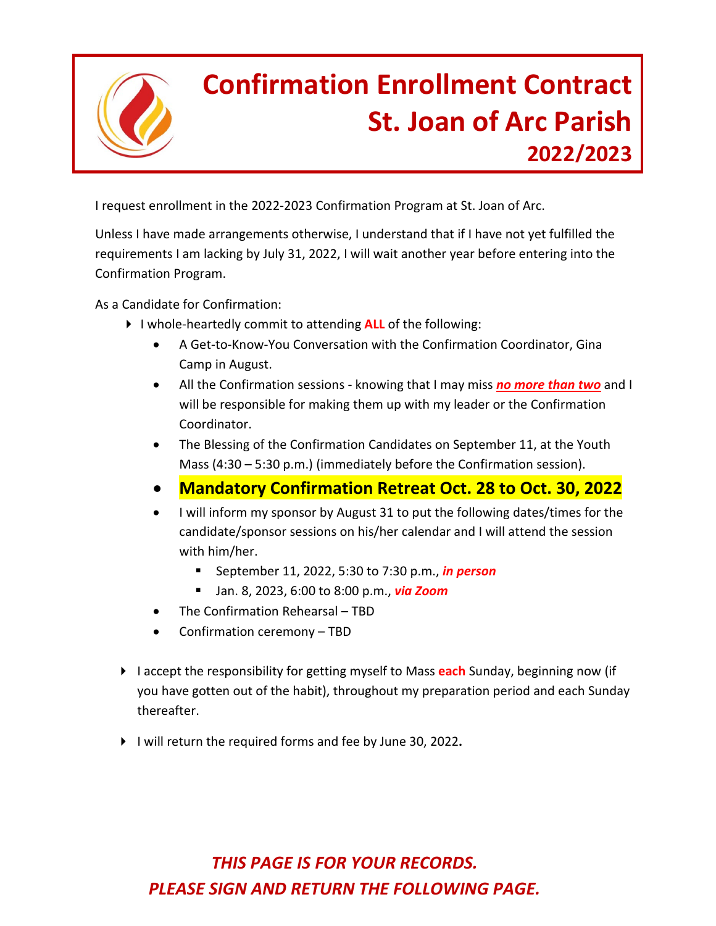

## **Confirmation Enrollment Contract St. Joan of Arc Parish 2022/2023**

I request enrollment in the 2022-2023 Confirmation Program at St. Joan of Arc.

Unless I have made arrangements otherwise, I understand that if I have not yet fulfilled the requirements I am lacking by July 31, 2022, I will wait another year before entering into the Confirmation Program.

As a Candidate for Confirmation:

- I whole-heartedly commit to attending **ALL** of the following:
	- A Get-to-Know-You Conversation with the Confirmation Coordinator, Gina Camp in August.
	- All the Confirmation sessions knowing that I may miss *no more than two* and I will be responsible for making them up with my leader or the Confirmation Coordinator.
	- The Blessing of the Confirmation Candidates on September 11, at the Youth Mass (4:30 – 5:30 p.m.) (immediately before the Confirmation session).
	- **Mandatory Confirmation Retreat Oct. 28 to Oct. 30, 2022**
	- I will inform my sponsor by August 31 to put the following dates/times for the candidate/sponsor sessions on his/her calendar and I will attend the session with him/her.
		- September 11, 2022, 5:30 to 7:30 p.m., *in person*
		- Jan. 8, 2023, 6:00 to 8:00 p.m., *via Zoom*
	- The Confirmation Rehearsal TBD
	- Confirmation ceremony TBD
- I accept the responsibility for getting myself to Mass **each** Sunday, beginning now (if you have gotten out of the habit), throughout my preparation period and each Sunday thereafter.
- I will return the required forms and fee by June 30, 2022.

### *THIS PAGE IS FOR YOUR RECORDS. PLEASE SIGN AND RETURN THE FOLLOWING PAGE.*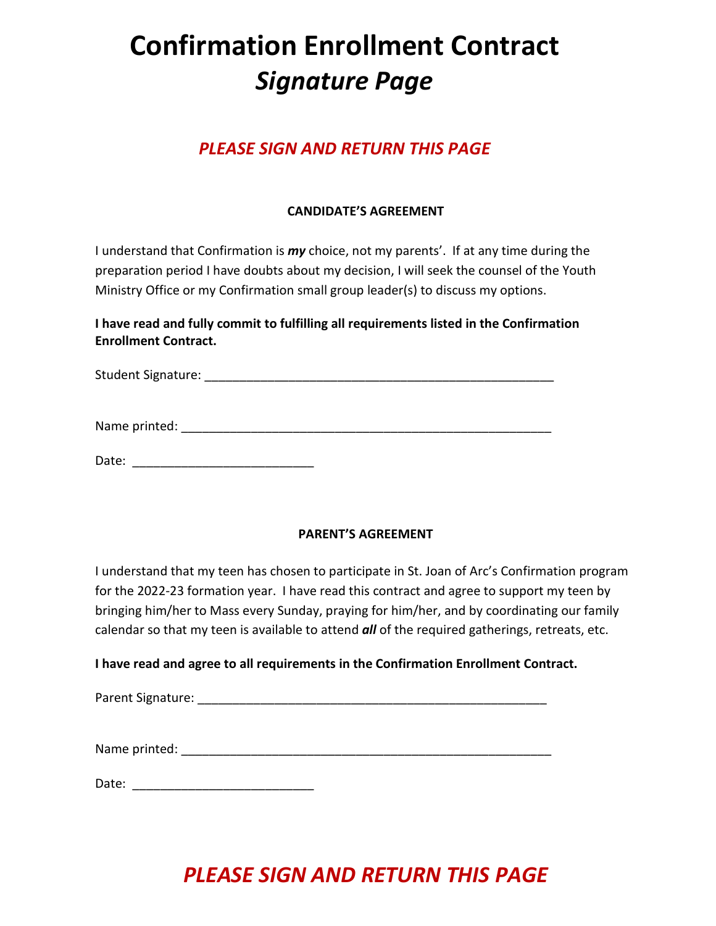### **Confirmation Enrollment Contract** *Signature Page*

### *PLEASE SIGN AND RETURN THIS PAGE*

### **CANDIDATE'S AGREEMENT**

I understand that Confirmation is *my* choice, not my parents'. If at any time during the preparation period I have doubts about my decision, I will seek the counsel of the Youth Ministry Office or my Confirmation small group leader(s) to discuss my options.

**I have read and fully commit to fulfilling all requirements listed in the Confirmation Enrollment Contract.**

Student Signature: \_\_\_\_\_\_\_\_\_\_\_\_\_\_\_\_\_\_\_\_\_\_\_\_\_\_\_\_\_\_\_\_\_\_\_\_\_\_\_\_\_\_\_\_\_\_\_\_\_\_

Name printed: \_\_\_\_\_\_\_\_\_\_\_\_\_\_\_\_\_\_\_\_\_\_\_\_\_\_\_\_\_\_\_\_\_\_\_\_\_\_\_\_\_\_\_\_\_\_\_\_\_\_\_\_\_

Date: \_\_\_\_\_\_\_\_\_\_\_\_\_\_\_\_\_\_\_\_\_\_\_\_\_\_

### **PARENT'S AGREEMENT**

I understand that my teen has chosen to participate in St. Joan of Arc's Confirmation program for the 2022-23 formation year. I have read this contract and agree to support my teen by bringing him/her to Mass every Sunday, praying for him/her, and by coordinating our family calendar so that my teen is available to attend *all* of the required gatherings, retreats, etc.

### **I have read and agree to all requirements in the Confirmation Enrollment Contract.**

| Parent Signature: |  |  |
|-------------------|--|--|
| Name printed:     |  |  |
| Date:             |  |  |

### *PLEASE SIGN AND RETURN THIS PAGE*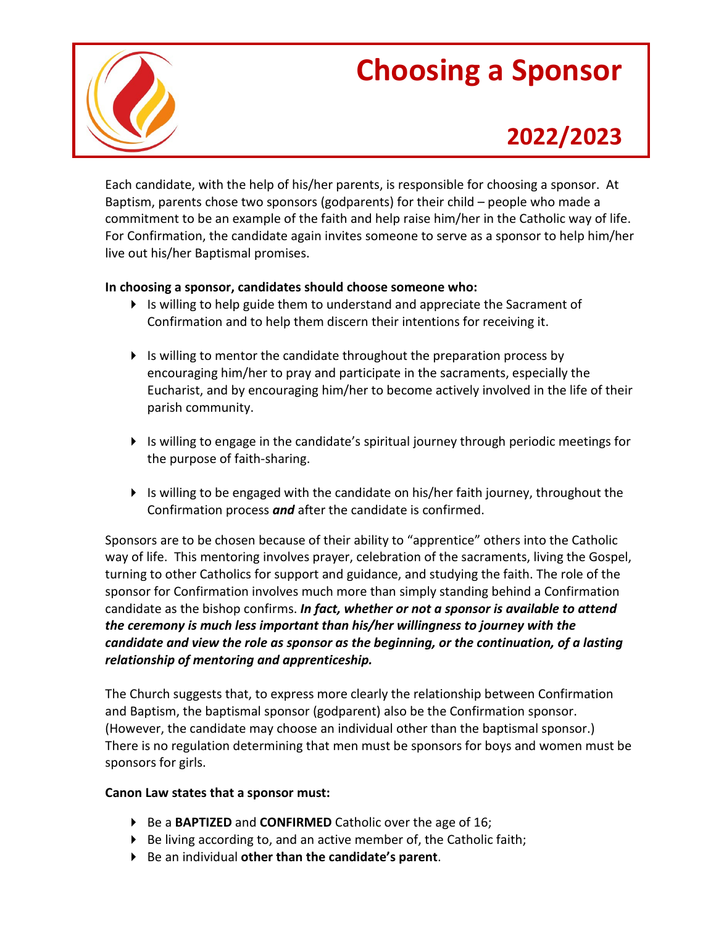## **Choosing a Sponsor**



### **2022/2023**

Each candidate, with the help of his/her parents, is responsible for choosing a sponsor. At Baptism, parents chose two sponsors (godparents) for their child – people who made a commitment to be an example of the faith and help raise him/her in the Catholic way of life. For Confirmation, the candidate again invites someone to serve as a sponsor to help him/her live out his/her Baptismal promises.

### **In choosing a sponsor, candidates should choose someone who:**

- $\blacktriangleright$  Is willing to help guide them to understand and appreciate the Sacrament of Confirmation and to help them discern their intentions for receiving it.
- $\blacktriangleright$  Is willing to mentor the candidate throughout the preparation process by encouraging him/her to pray and participate in the sacraments, especially the Eucharist, and by encouraging him/her to become actively involved in the life of their parish community.
- Is willing to engage in the candidate's spiritual journey through periodic meetings for the purpose of faith-sharing.
- $\blacktriangleright$  Is willing to be engaged with the candidate on his/her faith journey, throughout the Confirmation process *and* after the candidate is confirmed.

Sponsors are to be chosen because of their ability to "apprentice" others into the Catholic way of life. This mentoring involves prayer, celebration of the sacraments, living the Gospel, turning to other Catholics for support and guidance, and studying the faith. The role of the sponsor for Confirmation involves much more than simply standing behind a Confirmation candidate as the bishop confirms. *In fact, whether or not a sponsor is available to attend the ceremony is much less important than his/her willingness to journey with the candidate and view the role as sponsor as the beginning, or the continuation, of a lasting relationship of mentoring and apprenticeship.*

The Church suggests that, to express more clearly the relationship between Confirmation and Baptism, the baptismal sponsor (godparent) also be the Confirmation sponsor. (However, the candidate may choose an individual other than the baptismal sponsor.) There is no regulation determining that men must be sponsors for boys and women must be sponsors for girls.

### **Canon Law states that a sponsor must:**

- ▶ Be a **BAPTIZED** and **CONFIRMED** Catholic over the age of 16;
- $\triangleright$  Be living according to, and an active member of, the Catholic faith;
- Be an individual **other than the candidate's parent**.